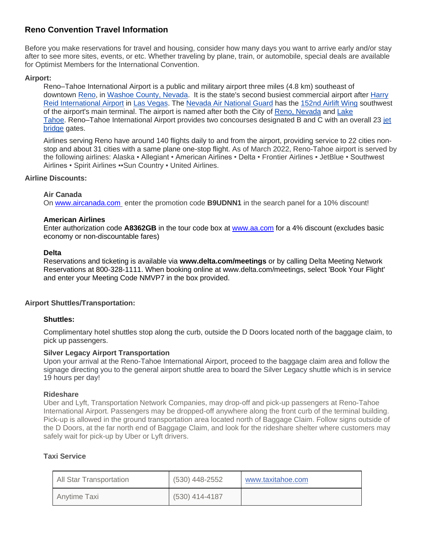# **Reno Convention Travel Information**

Before you make reservations for travel and housing, consider how many days you want to arrive early and/or stay after to see more sites, events, or etc. Whether traveling by plane, train, or automobile, special deals are available for Optimist Members for the International Convention.

# **Airport:**

Reno–Tahoe International Airport is a public and military airport three miles (4.8 km) southeast of downtown [Reno,](https://en.wikipedia.org/wiki/Reno,_Nevada) in [Washoe County, Nevada.](https://en.wikipedia.org/wiki/Washoe_County,_Nevada) It is the state's second busiest commercial airport after [Harry](https://en.wikipedia.org/wiki/Harry_Reid_International_Airport)  [Reid International Airport](https://en.wikipedia.org/wiki/Harry_Reid_International_Airport) in [Las Vegas.](https://en.wikipedia.org/wiki/Las_Vegas) The [Nevada Air National Guard](https://en.wikipedia.org/wiki/Nevada_Air_National_Guard) has the [152nd Airlift Wing](https://en.wikipedia.org/wiki/152nd_Airlift_Wing) southwest of the airport's main terminal. The airport is named after both the City of [Reno, Nevada](https://en.wikipedia.org/wiki/Reno,_Nevada) and [Lake](https://en.wikipedia.org/wiki/Lake_Tahoe)  [Tahoe.](https://en.wikipedia.org/wiki/Lake_Tahoe) Reno–Tahoe International Airport provides two concourses designated B and C with an overall 23 [jet](https://en.wikipedia.org/wiki/Jet_bridge)  [bridge](https://en.wikipedia.org/wiki/Jet_bridge) gates.

Airlines serving Reno have around 140 flights daily to and from the airport, providing service to 22 cities nonstop and about 31 cities with a same plane one-stop flight. As of March 2022, Reno-Tahoe airport is served by the following airlines: Alaska ▪ Allegiant • American Airlines • Delta • Frontier Airlines ▪ JetBlue • Southwest Airlines • Spirit Airlines ▪▪Sun Country ▪ United Airlines.

# **Airline Discounts:**

#### **Air Canada**

On [www.aircanada.com](http://www.aircanada.com/) enter the promotion code **B9UDNN1** in the search panel for a 10% discount!

#### **American Airlines**

Enter authorization code **A8362GB** in the tour code box at [www.aa.com](http://www.aa.com/) for a 4% discount (excludes basic economy or non-discountable fares)

#### **Delta**

Reservations and ticketing is available via **www.delta.com/meetings** or by calling Delta Meeting Network Reservations at 800-328-1111. When booking online at www.delta.com/meetings, select 'Book Your Flight' and enter your Meeting Code NMVP7 in the box provided.

# **Airport Shuttles/Transportation:**

# **Shuttles:**

Complimentary hotel shuttles stop along the curb, outside the D Doors located north of the baggage claim, to pick up passengers.

# **Silver Legacy Airport Transportation**

Upon your arrival at the Reno-Tahoe International Airport, proceed to the baggage claim area and follow the signage directing you to the general airport shuttle area to board the Silver Legacy shuttle which is in service 19 hours per day!

# **Rideshare**

Uber and Lyft, Transportation Network Companies, may drop-off and pick-up passengers at Reno-Tahoe International Airport. Passengers may be dropped-off anywhere along the front curb of the terminal building. Pick-up is allowed in the ground transportation area located north of Baggage Claim. Follow signs outside of the D Doors, at the far north end of Baggage Claim, and look for the rideshare shelter where customers may safely wait for pick-up by Uber or Lyft drivers.

# **Taxi Service**

| All Star Transportation | (530) 448-2552   | www.taxitahoe.com |
|-------------------------|------------------|-------------------|
| Anytime Taxi            | $(530)$ 414-4187 |                   |